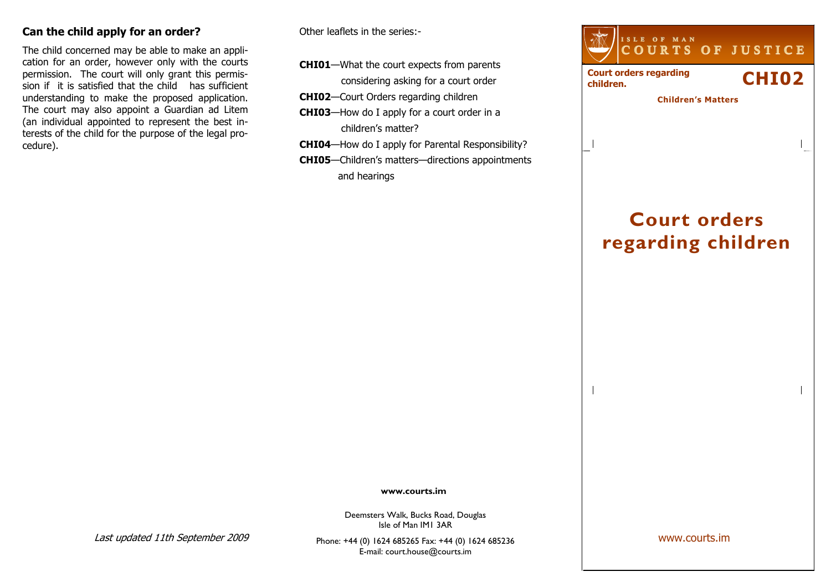## Can the child apply for an order?

The child concerned may be able to make an application for an order, however only with the courts permission. The court will only grant this permission if it is satisfied that the child has sufficient understanding to make the proposed application. The court may also appoint a Guardian ad Litem (an individual appointed to represent the best interests of the child for the purpose of the legal procedure).

Other leaflets in the series:-

- CHI01—What the court expects from parents considering asking for a court order
- CHI02—Court Orders regarding children
- CHI03—How do I apply for a court order in a children's matter?
- CHI04—How do I apply for Parental Responsibility?
- CHI05—Children's matters—directions appointments and hearings



# Court orders regarding children

www.courts.im

Deemsters Walk, Bucks Road, Douglas Isle of Man IM1 3AR

Last updated 11th September 2009

Phone: +44 (0) 1624 685265 Fax: +44 (0) 1624 685236E-mail: court.house@courts.im

www.courts.im

 $\overline{\phantom{a}}$